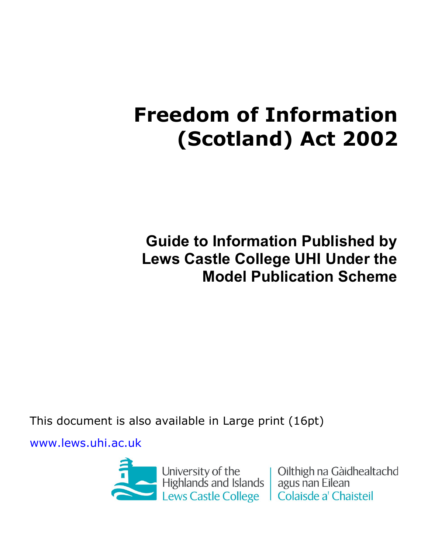# **Freedom of Information (Scotland) Act 2002**

**Guide to Information Published by Lews Castle College UHI Under the Model Publication Scheme** 

This document is also available in Large print (16pt)

[www.lews.uhi.ac.uk](http://www.lews.uhi.ac.uk/)



Oilthigh na Gàidhealtachd Colaisde a' Chaisteil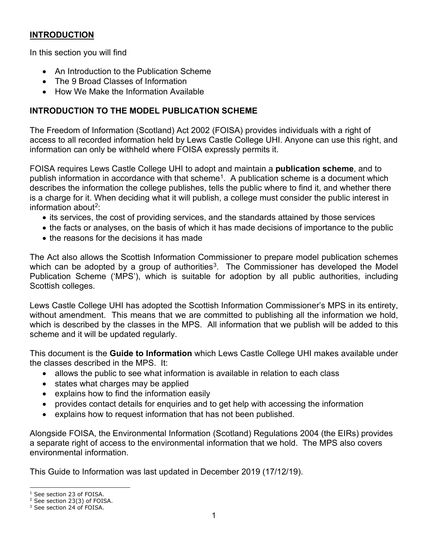## **INTRODUCTION**

In this section you will find

- An Introduction to the Publication Scheme
- The 9 Broad Classes of Information
- How We Make the Information Available

# **INTRODUCTION TO THE MODEL PUBLICATION SCHEME**

The Freedom of Information (Scotland) Act 2002 (FOISA) provides individuals with a right of access to all recorded information held by Lews Castle College UHI. Anyone can use this right, and information can only be withheld where FOISA expressly permits it.

FOISA requires Lews Castle College UHI to adopt and maintain a **publication scheme**, and to publish information in accordance with that scheme<sup>1</sup>. A publication scheme is a document which describes the information the college publishes, tells the public where to find it, and whether there is a charge for it. When deciding what it will publish, a college must consider the public interest in information about<sup>[2](#page-1-1)</sup>:

- its services, the cost of providing services, and the standards attained by those services
- the facts or analyses, on the basis of which it has made decisions of importance to the public
- the reasons for the decisions it has made

The Act also allows the Scottish Information Commissioner to prepare model publication schemes which can be adopted by a group of authorities<sup>3</sup>. The Commissioner has developed the Model Publication Scheme ('MPS'), which is suitable for adoption by all public authorities, including Scottish colleges.

Lews Castle College UHI has adopted the Scottish Information Commissioner's MPS in its entirety, without amendment. This means that we are committed to publishing all the information we hold, which is described by the classes in the MPS. All information that we publish will be added to this scheme and it will be updated regularly.

This document is the **Guide to Information** which Lews Castle College UHI makes available under the classes described in the MPS. It:

- allows the public to see what information is available in relation to each class
- states what charges may be applied
- explains how to find the information easily
- provides contact details for enquiries and to get help with accessing the information
- explains how to request information that has not been published.

Alongside FOISA, the Environmental Information (Scotland) Regulations 2004 (the EIRs) provides a separate right of access to the environmental information that we hold. The MPS also covers environmental information.

This Guide to Information was last updated in December 2019 (17/12/19).

<span id="page-1-0"></span><sup>&</sup>lt;sup>1</sup> See section 23 of FOISA.

<span id="page-1-1"></span><sup>2</sup> See section 23(3) of FOISA.

<span id="page-1-2"></span><sup>&</sup>lt;sup>3</sup> See section 24 of FOISA.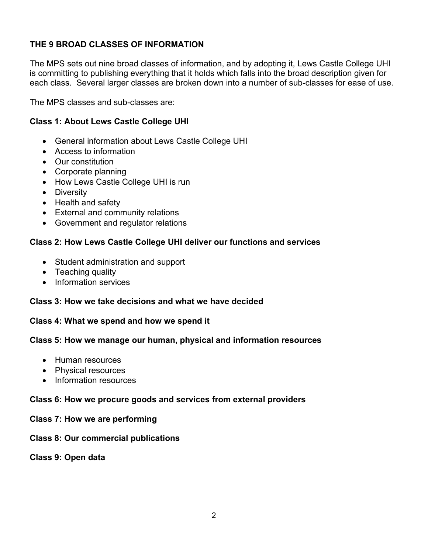# **THE 9 BROAD CLASSES OF INFORMATION**

The MPS sets out nine broad classes of information, and by adopting it, Lews Castle College UHI is committing to publishing everything that it holds which falls into the broad description given for each class. Several larger classes are broken down into a number of sub-classes for ease of use.

The MPS classes and sub-classes are:

## **Class 1: About Lews Castle College UHI**

- General information about Lews Castle College UHI
- Access to information
- Our constitution
- Corporate planning
- How Lews Castle College UHI is run
- Diversity
- Health and safety
- External and community relations
- Government and regulator relations

#### **Class 2: How Lews Castle College UHI deliver our functions and services**

- Student administration and support
- Teaching quality
- Information services

#### **Class 3: How we take decisions and what we have decided**

#### **Class 4: What we spend and how we spend it**

#### **Class 5: How we manage our human, physical and information resources**

- Human resources
- Physical resources
- Information resources

#### **Class 6: How we procure goods and services from external providers**

#### **Class 7: How we are performing**

#### **Class 8: Our commercial publications**

#### **Class 9: Open data**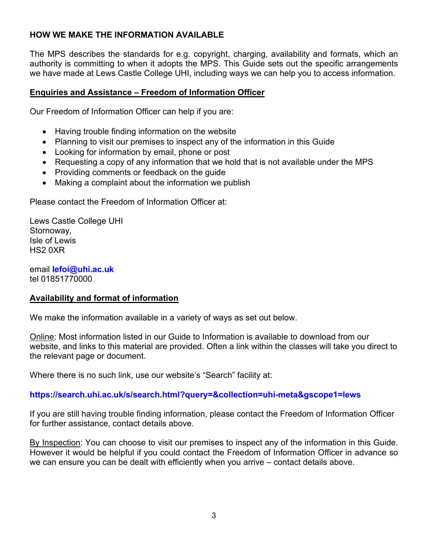## **HOW WE MAKE THE INFORMATION AVAILABLE**

The MPS describes the standards for e.g. copyright, charging, availability and formats, which an authority is committing to when it adopts the MPS. This Guide sets out the specific arrangements we have made at Lews Castle College UHI, including ways we can help you to access information.

#### **Enquiries and Assistance – Freedom of Information Officer**

Our Freedom of Information Officer can help if you are:

- Having trouble finding information on the website
- Planning to visit our premises to inspect any of the information in this Guide
- Looking for information by email, phone or post
- Requesting a copy of any information that we hold that is not available under the MPS
- Providing comments or feedback on the guide
- Making a complaint about the information we publish

Please contact the Freedom of Information Officer at:

Lews Castle College UHI Stornoway, Isle of Lewis HS2 0XR

email **[lefoi@uhi.ac.uk](mailto:lefoi@uhi.ac.uk)** tel 01851770000

#### **Availability and format of information**

We make the information available in a variety of ways as set out below.

Online: Most information listed in our Guide to Information is available to download from our website, and links to this material are provided. Often a link within the classes will take you direct to the relevant page or document.

Where there is no such link, use our website's "Search" facility at:

# **<https://search.uhi.ac.uk/s/search.html?query=&collection=uhi-meta&gscope1=lews>**

If you are still having trouble finding information, please contact the Freedom of Information Officer for further assistance, contact details above.

By Inspection: You can choose to visit our premises to inspect any of the information in this Guide. However it would be helpful if you could contact the Freedom of Information Officer in advance so we can ensure you can be dealt with efficiently when you arrive – contact details above.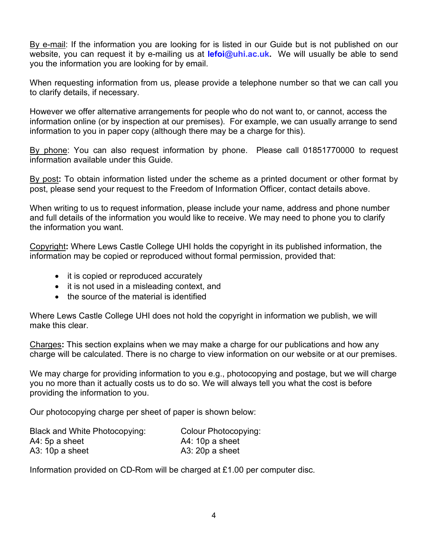By e-mail: If the information you are looking for is listed in our Guide but is not published on our website, you can request it by e-mailing us at **[lefoi@](mailto:lefoi@uhi.ac.uk)uhi.ac.uk.** We will usually be able to send you the information you are looking for by email.

When requesting information from us, please provide a telephone number so that we can call you to clarify details, if necessary.

However we offer alternative arrangements for people who do not want to, or cannot, access the information online (or by inspection at our premises). For example, we can usually arrange to send information to you in paper copy (although there may be a charge for this).

By phone: You can also request information by phone. Please call 01851770000 to request information available under this Guide.

By post**:** To obtain information listed under the scheme as a printed document or other format by post, please send your request to the Freedom of Information Officer, contact details above.

When writing to us to request information, please include your name, address and phone number and full details of the information you would like to receive. We may need to phone you to clarify the information you want.

Copyright**:** Where Lews Castle College UHI holds the copyright in its published information, the information may be copied or reproduced without formal permission, provided that:

- it is copied or reproduced accurately
- it is not used in a misleading context, and
- the source of the material is identified

Where Lews Castle College UHI does not hold the copyright in information we publish, we will make this clear.

Charges**:** This section explains when we may make a charge for our publications and how any charge will be calculated. There is no charge to view information on our website or at our premises.

We may charge for providing information to you e.g., photocopying and postage, but we will charge you no more than it actually costs us to do so. We will always tell you what the cost is before providing the information to you.

Our photocopying charge per sheet of paper is shown below:

| <b>Black and White Photocopying:</b> | Colour Photocopying: |
|--------------------------------------|----------------------|
| A4: 5p a sheet                       | $A4: 10p$ a sheet    |
| $A3: 10p$ a sheet                    | $A3: 20p$ a sheet    |

Information provided on CD-Rom will be charged at £1.00 per computer disc.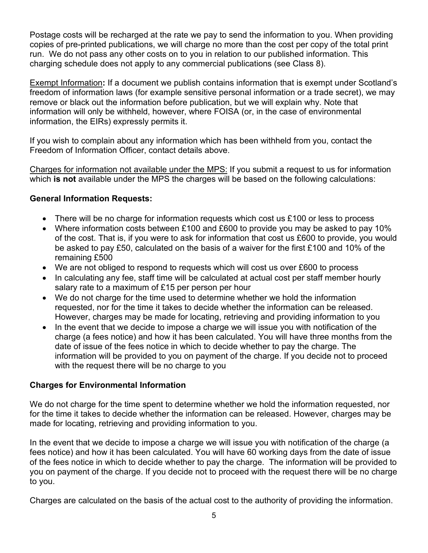Postage costs will be recharged at the rate we pay to send the information to you. When providing copies of pre-printed publications, we will charge no more than the cost per copy of the total print run. We do not pass any other costs on to you in relation to our published information. This charging schedule does not apply to any commercial publications (see Class 8).

Exempt Information**:** If a document we publish contains information that is exempt under Scotland's freedom of information laws (for example sensitive personal information or a trade secret), we may remove or black out the information before publication, but we will explain why. Note that information will only be withheld, however, where FOISA (or, in the case of environmental information, the EIRs) expressly permits it.

If you wish to complain about any information which has been withheld from you, contact the Freedom of Information Officer, contact details above.

Charges for information not available under the MPS: If you submit a request to us for information which **is not** available under the MPS the charges will be based on the following calculations:

## **General Information Requests:**

- There will be no charge for information requests which cost us £100 or less to process
- Where information costs between £100 and £600 to provide you may be asked to pay 10% of the cost. That is, if you were to ask for information that cost us £600 to provide, you would be asked to pay £50, calculated on the basis of a waiver for the first £100 and 10% of the remaining £500
- We are not obliged to respond to requests which will cost us over £600 to process
- In calculating any fee, staff time will be calculated at actual cost per staff member hourly salary rate to a maximum of £15 per person per hour
- We do not charge for the time used to determine whether we hold the information requested, nor for the time it takes to decide whether the information can be released. However, charges may be made for locating, retrieving and providing information to you
- In the event that we decide to impose a charge we will issue you with notification of the charge (a fees notice) and how it has been calculated. You will have three months from the date of issue of the fees notice in which to decide whether to pay the charge. The information will be provided to you on payment of the charge. If you decide not to proceed with the request there will be no charge to you

## **Charges for Environmental Information**

We do not charge for the time spent to determine whether we hold the information requested, nor for the time it takes to decide whether the information can be released. However, charges may be made for locating, retrieving and providing information to you.

In the event that we decide to impose a charge we will issue you with notification of the charge (a fees notice) and how it has been calculated. You will have 60 working days from the date of issue of the fees notice in which to decide whether to pay the charge. The information will be provided to you on payment of the charge. If you decide not to proceed with the request there will be no charge to you.

Charges are calculated on the basis of the actual cost to the authority of providing the information.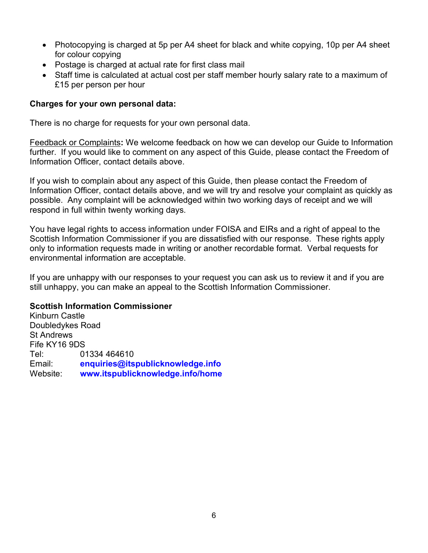- Photocopying is charged at 5p per A4 sheet for black and white copying, 10p per A4 sheet for colour copying
- Postage is charged at actual rate for first class mail
- Staff time is calculated at actual cost per staff member hourly salary rate to a maximum of £15 per person per hour

#### **Charges for your own personal data:**

There is no charge for requests for your own personal data.

Feedback or Complaints**:** We welcome feedback on how we can develop our Guide to Information further. If you would like to comment on any aspect of this Guide, please contact the Freedom of Information Officer, contact details above.

If you wish to complain about any aspect of this Guide, then please contact the Freedom of Information Officer, contact details above, and we will try and resolve your complaint as quickly as possible. Any complaint will be acknowledged within two working days of receipt and we will respond in full within twenty working days.

You have legal rights to access information under FOISA and EIRs and a right of appeal to the Scottish Information Commissioner if you are dissatisfied with our response. These rights apply only to information requests made in writing or another recordable format. Verbal requests for environmental information are acceptable.

If you are unhappy with our responses to your request you can ask us to review it and if you are still unhappy, you can make an appeal to the Scottish Information Commissioner.

#### **Scottish Information Commissioner**

Kinburn Castle Doubledykes Road St Andrews Fife KY16 9DS Tel: 01334 464610 Email: **[enquiries@itspublicknowledge.info](mailto:enquiries@itspublicknowledge.info)** Website: **[www.itspublicknowledge.info/home](http://www.itspublicknowledge.info/home/ScottishInformationCommissioner.aspx)**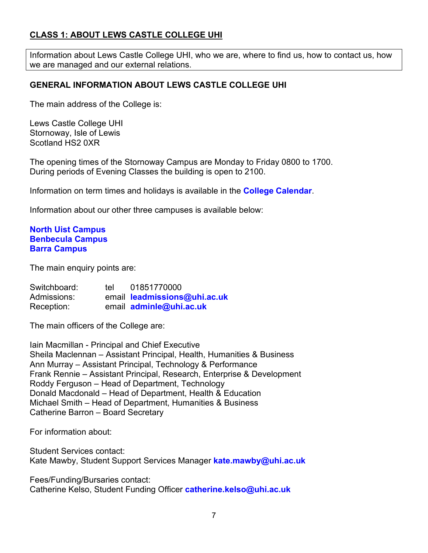## **CLASS 1: ABOUT LEWS CASTLE COLLEGE UHI**

Information about Lews Castle College UHI, who we are, where to find us, how to contact us, how we are managed and our external relations.

## **GENERAL INFORMATION ABOUT LEWS CASTLE COLLEGE UHI**

The main address of the College is:

Lews Castle College UHI Stornoway, Isle of Lewis Scotland HS2 0XR

The opening times of the Stornoway Campus are Monday to Friday 0800 to 1700. During periods of Evening Classes the building is open to 2100.

Information on term times and holidays is available in the **[College Calendar](https://www.lews.uhi.ac.uk/staff/college-calendar/)**.

Information about our other three campuses is available below:

#### **[North Uist Campus](https://www.lews.uhi.ac.uk/about-us/find-us/north-uist-campus/) [Benbecula Campus](https://www.lews.uhi.ac.uk/about-us/find-us/benbecula-campus/) [Barra Campus](https://www.lews.uhi.ac.uk/about-us/find-us/barra-campus/)**

The main enquiry points are:

| Switchboard: | tel | 01851770000                  |
|--------------|-----|------------------------------|
| Admissions:  |     | email leadmissions@uhi.ac.uk |
| Reception:   |     | email adminle@uhi.ac.uk      |

The main officers of the College are:

Iain Macmillan - Principal and Chief Executive Sheila Maclennan – Assistant Principal, Health, Humanities & Business Ann Murray – Assistant Principal, Technology & Performance Frank Rennie – Assistant Principal, Research, Enterprise & Development Roddy Ferguson – Head of Department, Technology Donald Macdonald – Head of Department, Health & Education Michael Smith – Head of Department, Humanities & Business Catherine Barron – Board Secretary

For information about:

Student Services contact: Kate Mawby, Student Support Services Manager **[kate.mawby@uhi.ac.uk](mailto:kate.mawby@uhi.ac.uk)**

Fees/Funding/Bursaries contact: Catherine Kelso, Student Funding Officer **[catherine.kelso@uhi.ac.uk](mailto:catherine.kelso@uhi.ac.uk)**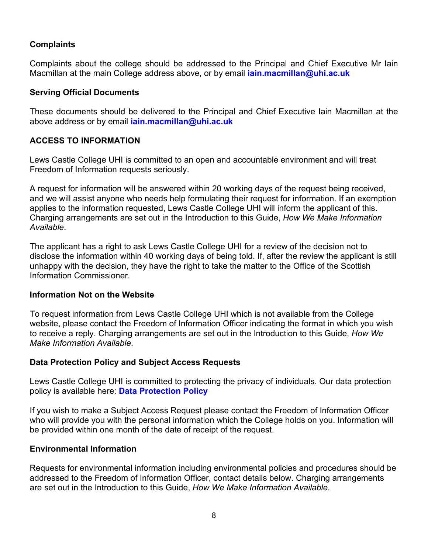## **Complaints**

Complaints about the college should be addressed to the Principal and Chief Executive Mr Iain Macmillan at the main College address above, or by email **[iain.macmillan@uhi.ac.uk](mailto:iain.macmillan@uhi.ac.uk)**

#### **Serving Official Documents**

These documents should be delivered to the Principal and Chief Executive Iain Macmillan at the above address or by email **[iain.macmillan@uhi.ac.uk](mailto:iain.macmillan@uhi.ac.uk)**

## **ACCESS TO INFORMATION**

Lews Castle College UHI is committed to an open and accountable environment and will treat Freedom of Information requests seriously.

A request for information will be answered within 20 working days of the request being received, and we will assist anyone who needs help formulating their request for information. If an exemption applies to the information requested, Lews Castle College UHI will inform the applicant of this. Charging arrangements are set out in the Introduction to this Guide, *How We Make Information Available*.

The applicant has a right to ask Lews Castle College UHI for a review of the decision not to disclose the information within 40 working days of being told. If, after the review the applicant is still unhappy with the decision, they have the right to take the matter to the Office of the Scottish Information Commissioner.

#### **Information Not on the Website**

To request information from Lews Castle College UHI which is not available from the College website, please contact the Freedom of Information Officer indicating the format in which you wish to receive a reply. Charging arrangements are set out in the Introduction to this Guide, *How We Make Information Available*.

## **Data Protection Policy and Subject Access Requests**

Lews Castle College UHI is committed to protecting the privacy of individuals. Our data protection policy is available here: **[Data Protection Policy](https://www.lews.uhi.ac.uk/t4-media/one-web/lews/about-us/foi/LCC-UHI-Data-Protection-Policy.pdf)**

If you wish to make a Subject Access Request please contact the Freedom of Information Officer who will provide you with the personal information which the College holds on you. Information will be provided within one month of the date of receipt of the request.

#### **Environmental Information**

Requests for environmental information including environmental policies and procedures should be addressed to the Freedom of Information Officer, contact details below. Charging arrangements are set out in the Introduction to this Guide, *How We Make Information Available*.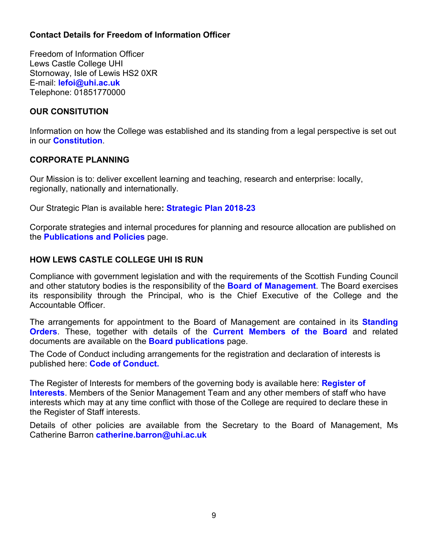## **Contact Details for Freedom of Information Officer**

Freedom of Information Officer Lews Castle College UHI Stornoway, Isle of Lewis HS2 0XR E-mail: **[lefoi@uhi.ac.uk](mailto:lefoi@uhi.ac.uk)** Telephone: 01851770000

## **OUR CONSITUTION**

Information on how the College was established and its standing from a legal perspective is set out in our **[Constitution](https://www.lews.uhi.ac.uk/t4-media/one-web/lews/about-us/board-of-management/board-publications/bom-Constitution.pdf)**.

#### **CORPORATE PLANNING**

Our Mission is to: deliver excellent learning and teaching, research and enterprise: locally, regionally, nationally and internationally.

Our Strategic Plan is available here**: [Strategic Plan 2018-23](https://www.lews.uhi.ac.uk/t4-media/one-web/lews/about-us/publications/Strategic-Plan-2018--23---English.pdf)**

Corporate strategies and internal procedures for planning and resource allocation are published on the **[Publications and Policies](https://www.lews.uhi.ac.uk/about-us/publications-and-policies/)** page.

#### **HOW LEWS CASTLE COLLEGE UHI IS RUN**

Compliance with government legislation and with the requirements of the Scottish Funding Council and other statutory bodies is the responsibility of the **[Board of Management](https://www.lews.uhi.ac.uk/about-us/board-of-management/)**. The Board exercises its responsibility through the Principal, who is the Chief Executive of the College and the Accountable Officer.

The arrangements for appointment to the Board of Management are contained in its **[Standing](https://www.lews.uhi.ac.uk/t4-media/one-web/lews/about-us/board-of-management/board-publications/bom--Standing-Orders.pdf)  [Orders](https://www.lews.uhi.ac.uk/t4-media/one-web/lews/about-us/board-of-management/board-publications/bom--Standing-Orders.pdf)**. These, together with details of the **[Current Members of the Board](https://www.lews.uhi.ac.uk/about-us/board-of-management/meet-the-board)** and related documents are available on the **[Board publications](https://www.lews.uhi.ac.uk/about-us/board-of-management/board-publications/)** page.

The Code of Conduct including arrangements for the registration and declaration of interests is published here: **[Code of Conduct.](https://www.lews.uhi.ac.uk/t4-media/one-web/lews/about-us/board-of-management/board-publications/bom-code-of-conduct.pdf)**

The Register of Interests for members of the governing body is available here: **[Register of](https://www.lews.uhi.ac.uk/t4-media/one-web/lews/about-us/board-of-management/board-publications/Register-of-Interests-Feb-2019.pdf)  [Interests](https://www.lews.uhi.ac.uk/t4-media/one-web/lews/about-us/board-of-management/board-publications/Register-of-Interests-Feb-2019.pdf)**. Members of the Senior Management Team and any other members of staff who have interests which may at any time conflict with those of the College are required to declare these in the Register of Staff interests.

Details of other policies are available from the Secretary to the Board of Management, Ms Catherine Barron **[catherine.barron@uhi.ac.uk](mailto:catherine.barron@uhi.ac.uk)**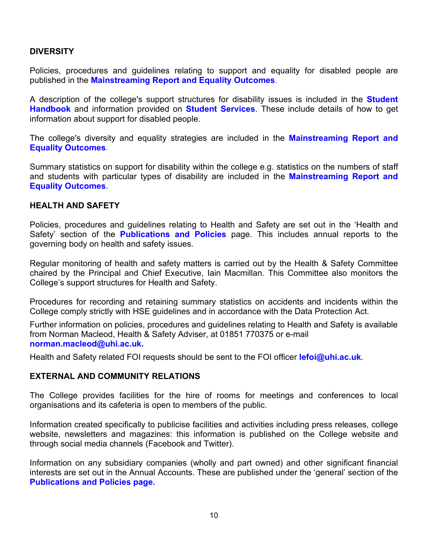## **DIVERSITY**

Policies, procedures and guidelines relating to support and equality for disabled people are published in the **[Mainstreaming Report and Equality Outcomes](https://www.lews.uhi.ac.uk/t4-media/one-web/lews/about-us/publications/Mainstreaming-and-Equality-Outcomes-Progress-Report-2019.pdf)**.

A description of the college's support structures for disability issues is included in the **[Student](https://www.lews.uhi.ac.uk/t4-media/one-web/lews/about-us/publications/Student-Handbook---Session-2019-20.pdf)  [Handbook](https://www.lews.uhi.ac.uk/t4-media/one-web/lews/about-us/publications/Student-Handbook---Session-2019-20.pdf)** and information provided on **[Student Services](https://www.lews.uhi.ac.uk/students/student-services/)**. These include details of how to get information about support for disabled people.

The college's diversity and equality strategies are included in the **[Mainstreaming Report and](https://www.lews.uhi.ac.uk/t4-media/one-web/lews/about-us/publications/Mainstreaming-and-Equality-Outcomes-Progress-Report-2019.pdf)  [Equality Outcomes](https://www.lews.uhi.ac.uk/t4-media/one-web/lews/about-us/publications/Mainstreaming-and-Equality-Outcomes-Progress-Report-2019.pdf)**.

Summary statistics on support for disability within the college e.g. statistics on the numbers of staff and students with particular types of disability are included in the **[Mainstreaming Report and](https://www.lews.uhi.ac.uk/t4-media/one-web/lews/about-us/publications/Mainstreaming-and-Equality-Outcomes-Progress-Report-2019.pdf)  [Equality Outcomes](https://www.lews.uhi.ac.uk/t4-media/one-web/lews/about-us/publications/Mainstreaming-and-Equality-Outcomes-Progress-Report-2019.pdf)**.

#### **HEALTH AND SAFETY**

Policies, procedures and guidelines relating to Health and Safety are set out in the 'Health and Safety' section of the **[Publications and Policies](https://www.lews.uhi.ac.uk/about-us/publications-and-policies/)** page. This includes annual reports to the governing body on health and safety issues.

Regular monitoring of health and safety matters is carried out by the Health & Safety Committee chaired by the Principal and Chief Executive, Iain Macmillan. This Committee also monitors the College's support structures for Health and Safety.

Procedures for recording and retaining summary statistics on accidents and incidents within the College comply strictly with HSE guidelines and in accordance with the Data Protection Act.

Further information on policies, procedures and guidelines relating to Health and Safety is available from Norman Macleod, Health & Safety Adviser, at 01851 770375 or e-mail **[norman.macleod@uhi.ac.uk.](mailto:norman.macleod@uhi.ac.uk)**

Health and Safety related FOI requests should be sent to the FOI officer **[lefoi@uhi.ac.uk](mailto:leregsitry@uhi.ac.uk)**.

#### **EXTERNAL AND COMMUNITY RELATIONS**

The College provides facilities for the hire of rooms for meetings and conferences to local organisations and its cafeteria is open to members of the public.

Information created specifically to publicise facilities and activities including press releases, college website, newsletters and magazines: this information is published on the College website and through social media channels (Facebook and Twitter).

Information on any subsidiary companies (wholly and part owned) and other significant financial interests are set out in the Annual Accounts. These are published under the 'general' section of the **[Publications and Policies page.](https://www.lews.uhi.ac.uk/about-us/publications-and-policies/)**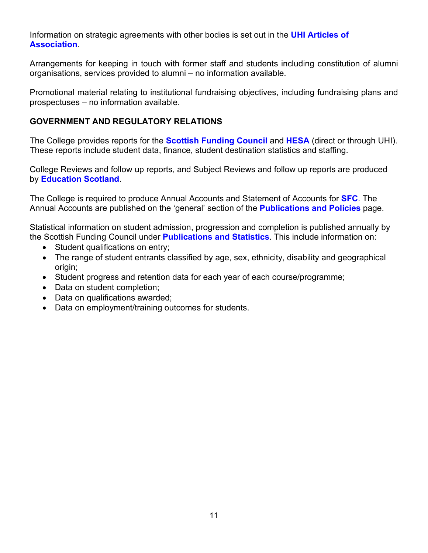Information on strategic agreements with other bodies is set out in the **[UHI Articles of](https://www.uhi.ac.uk/en/about-uhi/governance/articles-of-association/)  [Association](https://www.uhi.ac.uk/en/about-uhi/governance/articles-of-association/)**.

Arrangements for keeping in touch with former staff and students including constitution of alumni organisations, services provided to alumni – no information available.

Promotional material relating to institutional fundraising objectives, including fundraising plans and prospectuses – no information available.

## **GOVERNMENT AND REGULATORY RELATIONS**

The College provides reports for the **[Scottish Funding Council](http://www.sfc.ac.uk/)** and **[HESA](http://www.hesa.ac.uk/)** (direct or through UHI). These reports include student data, finance, student destination statistics and staffing.

College Reviews and follow up reports, and Subject Reviews and follow up reports are produced by **[Education Scotland](https://education.gov.scot/)**.

The College is required to produce Annual Accounts and Statement of Accounts for **[SFC](http://www.sfc.ac.uk/home/home.aspx)**. The Annual Accounts are published on the 'general' section of the **[Publications and Policies](https://www.lews.uhi.ac.uk/about-us/publications-and-policies/)** page.

Statistical information on student admission, progression and completion is published annually by the Scottish Funding Council under **[Publications and Statistics](http://www.sfc.ac.uk/publications-statistics/publications-statistics.aspx)**. This include information on:

- Student qualifications on entry;
- The range of student entrants classified by age, sex, ethnicity, disability and geographical origin;
- Student progress and retention data for each year of each course/programme;
- Data on student completion;
- Data on qualifications awarded;
- Data on employment/training outcomes for students.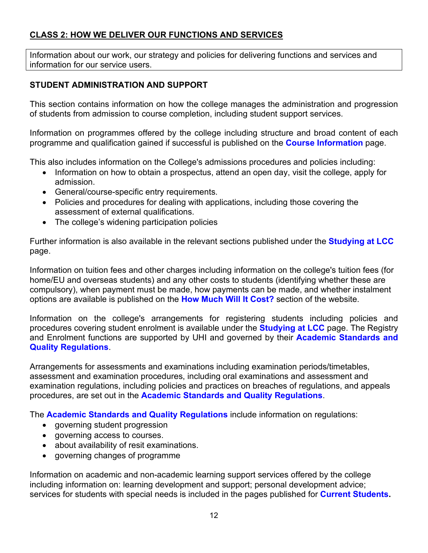# **CLASS 2: HOW WE DELIVER OUR FUNCTIONS AND SERVICES**

Information about our work, our strategy and policies for delivering functions and services and information for our service users.

## **STUDENT ADMINISTRATION AND SUPPORT**

This section contains information on how the college manages the administration and progression of students from admission to course completion, including student support services.

Information on programmes offered by the college including structure and broad content of each programme and qualification gained if successful is published on the **[Course Information](https://www.lews.uhi.ac.uk/courses)** page.

This also includes information on the College's admissions procedures and policies including:

- Information on how to obtain a prospectus, attend an open day, visit the college, apply for admission.
- General/course-specific entry requirements.
- Policies and procedures for dealing with applications, including those covering the assessment of external qualifications.
- The college's widening participation policies

Further information is also available in the relevant sections published under the **[Studying at LCC](https://www.lews.uhi.ac.uk/study-at-lcc/)** page.

Information on tuition fees and other charges including information on the college's tuition fees (for home/EU and overseas students) and any other costs to students (identifying whether these are compulsory), when payment must be made, how payments can be made, and whether instalment options are available is published on the **[How Much Will It Cost?](https://www.uhi.ac.uk/en/studying-at-uhi/first-steps/how-much-will-it-cost/)** section of the website.

Information on the college's arrangements for registering students including policies and procedures covering student enrolment is available under the **[Studying at LCC](https://www.lews.uhi.ac.uk/study-at-lcc/)** page. The Registry and Enrolment functions are supported by UHI and governed by their **[Academic Standards and](https://www.uhi.ac.uk/en/about-uhi/governance/policies-and-regulations/regulations/regulations-2019-20/)  [Quality Regulations](https://www.uhi.ac.uk/en/about-uhi/governance/policies-and-regulations/regulations/regulations-2019-20/)**.

Arrangements for assessments and examinations including examination periods/timetables, assessment and examination procedures, including oral examinations and assessment and examination regulations, including policies and practices on breaches of regulations, and appeals procedures, are set out in the **[Academic Standards and Quality Regulations](https://www.uhi.ac.uk/en/about-uhi/governance/policies-and-regulations/regulations/regulations-2019-20/)**.

The **[Academic Standards and Quality Regulations](https://www.uhi.ac.uk/en/about-uhi/governance/policies-and-regulations/regulations/regulations-2019-20/)** include information on regulations:

- governing student progression
- governing access to courses.
- about availability of resit examinations.
- governing changes of programme

Information on academic and non-academic learning support services offered by the college including information on: learning development and support; personal development advice; services for students with special needs is included in the pages published for **[Current Students.](https://www.lews.uhi.ac.uk/students)**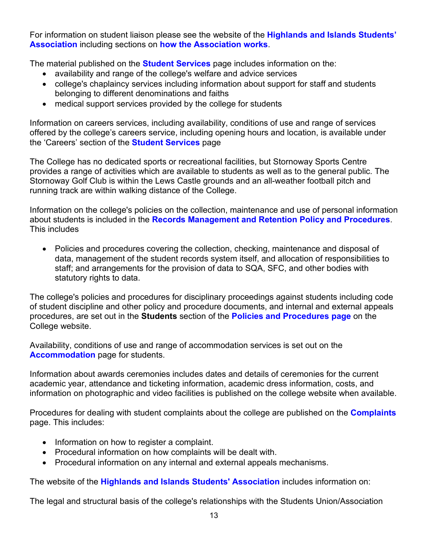For information on student liaison please see the website of the **[Highlands and Islands Students'](https://www.hisa.uhi.ac.uk/)  [Association](https://www.hisa.uhi.ac.uk/)** including sections on **[how the Association works](https://www.hisa.uhi.ac.uk/about/principles)**.

The material published on the **[Student Services](https://www.lews.uhi.ac.uk/students/student-services/)** page includes information on the:

- availability and range of the college's welfare and advice services
- college's chaplaincy services including information about support for staff and students belonging to different denominations and faiths
- medical support services provided by the college for students

Information on careers services, including availability, conditions of use and range of services offered by the college's careers service, including opening hours and location, is available under the 'Careers' section of the **[Student Services](https://www.lews.uhi.ac.uk/students/student-services/)** page

The College has no dedicated sports or recreational facilities, but Stornoway Sports Centre provides a range of activities which are available to students as well as to the general public. The Stornoway Golf Club is within the Lews Castle grounds and an all-weather football pitch and running track are within walking distance of the College.

Information on the college's policies on the collection, maintenance and use of personal information about students is included in the **[Records Management and Retention Policy and Procedures](https://www.lews.uhi.ac.uk/t4-media/one-web/lews/about-us/publications/LCCRMPJuly2017.pdf)**. This includes

• Policies and procedures covering the collection, checking, maintenance and disposal of data, management of the student records system itself, and allocation of responsibilities to staff; and arrangements for the provision of data to SQA, SFC, and other bodies with statutory rights to data.

The college's policies and procedures for disciplinary proceedings against students including code of student discipline and other policy and procedure documents, and internal and external appeals procedures, are set out in the **Students** section of the **[Policies and Procedures page](https://www.lews.uhi.ac.uk/about-us/publications-and-policies/)** on the College website.

Availability, conditions of use and range of accommodation services is set out on the **[Accommodation](https://www.lews.uhi.ac.uk/students/accommodation/)** page for students.

Information about awards ceremonies includes dates and details of ceremonies for the current academic year, attendance and ticketing information, academic dress information, costs, and information on photographic and video facilities is published on the college website when available.

Procedures for dealing with student complaints about the college are published on the **[Complaints](https://www.lews.uhi.ac.uk/about-us/complaints-handling)** page. This includes:

- Information on how to register a complaint.
- Procedural information on how complaints will be dealt with.
- Procedural information on any internal and external appeals mechanisms.

The website of the **[Highlands and Islands Students' Association](http://www.hisa.uhi.ac.uk/)** includes information on:

The legal and structural basis of the college's relationships with the Students Union/Association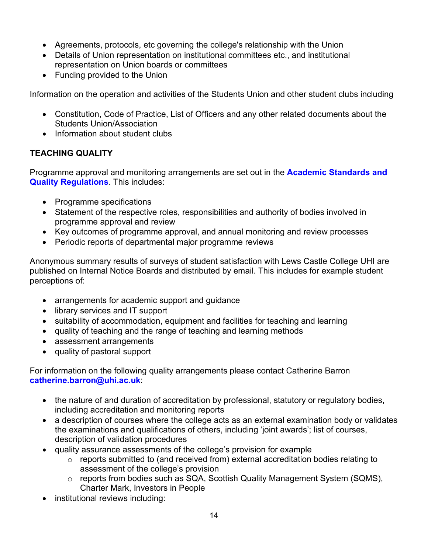- Agreements, protocols, etc governing the college's relationship with the Union
- Details of Union representation on institutional committees etc., and institutional representation on Union boards or committees
- Funding provided to the Union

Information on the operation and activities of the Students Union and other student clubs including

- Constitution, Code of Practice, List of Officers and any other related documents about the Students Union/Association
- Information about student clubs

# **TEACHING QUALITY**

Programme approval and monitoring arrangements are set out in the **[Academic Standards and](https://www.uhi.ac.uk/en/about-uhi/governance/policies-and-regulations/regulations/regulations-2019-20/)  [Quality Regulations](https://www.uhi.ac.uk/en/about-uhi/governance/policies-and-regulations/regulations/regulations-2019-20/)**. This includes:

- Programme specifications
- Statement of the respective roles, responsibilities and authority of bodies involved in programme approval and review
- Key outcomes of programme approval, and annual monitoring and review processes
- Periodic reports of departmental major programme reviews

Anonymous summary results of surveys of student satisfaction with Lews Castle College UHI are published on Internal Notice Boards and distributed by email. This includes for example student perceptions of:

- arrangements for academic support and guidance
- library services and IT support
- suitability of accommodation, equipment and facilities for teaching and learning
- quality of teaching and the range of teaching and learning methods
- assessment arrangements
- quality of pastoral support

For information on the following quality arrangements please contact Catherine Barron **[catherine.barron@uhi.ac.uk](mailto:catherine.barron@uhi.ac.uk)**:

- the nature of and duration of accreditation by professional, statutory or regulatory bodies, including accreditation and monitoring reports
- a description of courses where the college acts as an external examination body or validates the examinations and qualifications of others, including 'joint awards'; list of courses, description of validation procedures
- quality assurance assessments of the college's provision for example
	- o reports submitted to (and received from) external accreditation bodies relating to assessment of the college's provision
	- o reports from bodies such as SQA, Scottish Quality Management System (SQMS), Charter Mark, Investors in People
- institutional reviews including: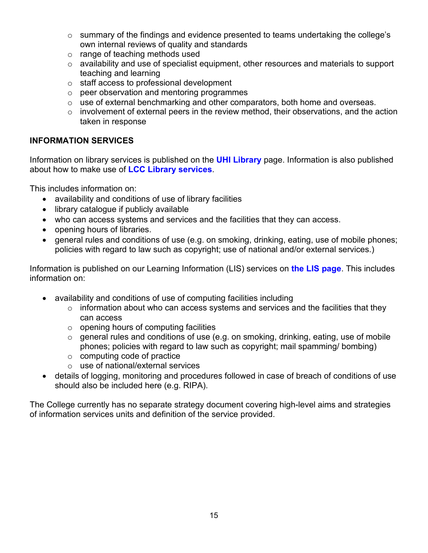- o summary of the findings and evidence presented to teams undertaking the college's own internal reviews of quality and standards
- o range of teaching methods used
- o availability and use of specialist equipment, other resources and materials to support teaching and learning
- $\circ$  staff access to professional development  $\circ$  peer observation and mentoring programm
- peer observation and mentoring programmes
- o use of external benchmarking and other comparators, both home and overseas.
- o involvement of external peers in the review method, their observations, and the action taken in response

#### **INFORMATION SERVICES**

Information on library services is published on the **[UHI Library](https://www.uhi.ac.uk/en/libraries/)** page. Information is also published about how to make use of **[LCC Library services](https://www.lews.uhi.ac.uk/library/)**.

This includes information on:

- availability and conditions of use of library facilities
- library catalogue if publicly available
- who can access systems and services and the facilities that they can access.
- opening hours of libraries.
- general rules and conditions of use (e.g. on smoking, drinking, eating, use of mobile phones; policies with regard to law such as copyright; use of national and/or external services.)

Information is published on our Learning Information (LIS) services on **[the LIS page](https://www.uhi.ac.uk/en/lis/)**. This includes information on:

- availability and conditions of use of computing facilities including
	- $\circ$  information about who can access systems and services and the facilities that they can access
	- $\circ$  opening hours of computing facilities
	- o general rules and conditions of use (e.g. on smoking, drinking, eating, use of mobile phones; policies with regard to law such as copyright; mail spamming/ bombing)
	- o computing code of practice
	- o use of national/external services
- details of logging, monitoring and procedures followed in case of breach of conditions of use should also be included here (e.g. RIPA).

The College currently has no separate strategy document covering high-level aims and strategies of information services units and definition of the service provided.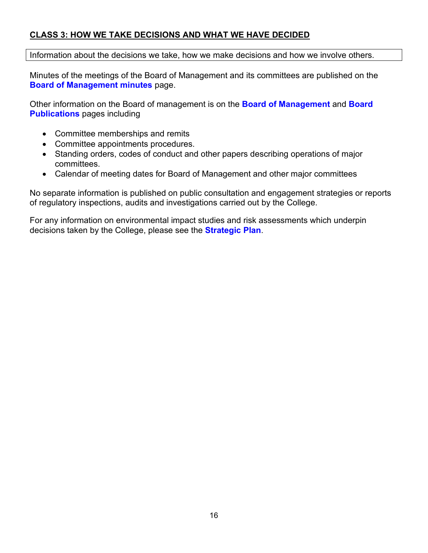## **CLASS 3: HOW WE TAKE DECISIONS AND WHAT WE HAVE DECIDED**

Information about the decisions we take, how we make decisions and how we involve others.

Minutes of the meetings of the Board of Management and its committees are published on the **[Board of Management minutes](https://www.lews.uhi.ac.uk/about-us/board-of-management/board-of-management-minutes/)** page.

Other information on the Board of management is on the **[Board of Management](https://www.lews.uhi.ac.uk/about-us/board-of-management/)** and **[Board](https://www.lews.uhi.ac.uk/about-us/board-of-management/board-publications/)  [Publications](https://www.lews.uhi.ac.uk/about-us/board-of-management/board-publications/)** pages including

- Committee memberships and remits
- Committee appointments procedures.
- Standing orders, codes of conduct and other papers describing operations of major committees.
- Calendar of meeting dates for Board of Management and other major committees

No separate information is published on public consultation and engagement strategies or reports of regulatory inspections, audits and investigations carried out by the College.

For any information on environmental impact studies and risk assessments which underpin decisions taken by the College, please see the **[Strategic Plan](https://www.lews.uhi.ac.uk/t4-media/one-web/lews/about-us/publications/Strategic-Plan-2018--23---English.pdf)**.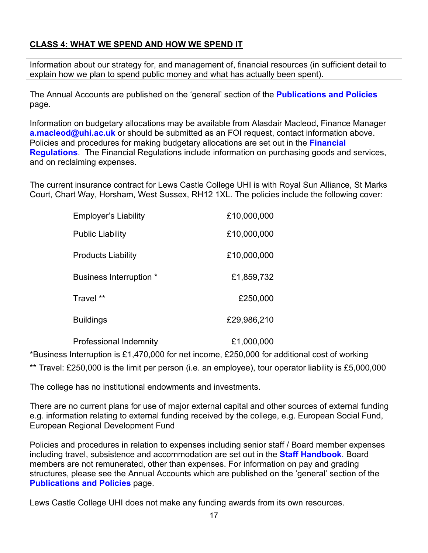# **CLASS 4: WHAT WE SPEND AND HOW WE SPEND IT**

Information about our strategy for, and management of, financial resources (in sufficient detail to explain how we plan to spend public money and what has actually been spent).

The Annual Accounts are published on the 'general' section of the **[Publications and Policies](https://www.lews.uhi.ac.uk/about-us/publications-and-policies/)** page.

Information on budgetary allocations may be available from Alasdair Macleod, Finance Manager [a.macleod@uhi.ac.uk](mailto:Alasdair%20Macleod%20%3ca.macleod@uhi.ac.uk%3e) or should be submitted as an FOI request, contact information above. Policies and procedures for making budgetary allocations are set out in the **[Financial](https://www.lews.uhi.ac.uk/t4-media/one-web/lews/about-us/publications/Financial_Regulations_2017_Final.pdf)  [Regulations](https://www.lews.uhi.ac.uk/t4-media/one-web/lews/about-us/publications/Financial_Regulations_2017_Final.pdf)**. The Financial Regulations include information on purchasing goods and services, and on reclaiming expenses.

The current insurance contract for Lews Castle College UHI is with Royal Sun Alliance, St Marks Court, Chart Way, Horsham, West Sussex, RH12 1XL. The policies include the following cover:

| <b>Employer's Liability</b> | £10,000,000 |
|-----------------------------|-------------|
| <b>Public Liability</b>     | £10,000,000 |
| <b>Products Liability</b>   | £10,000,000 |
| Business Interruption *     | £1,859,732  |
| Travel **                   | £250,000    |
| Buildings                   | £29,986,210 |
|                             |             |

Professional Indemnity £1,000,000

\*Business Interruption is £1,470,000 for net income, £250,000 for additional cost of working

\*\* Travel: £250,000 is the limit per person (i.e. an employee), tour operator liability is £5,000,000

The college has no institutional endowments and investments.

There are no current plans for use of major external capital and other sources of external funding e.g. information relating to external funding received by the college, e.g. European Social Fund, European Regional Development Fund

Policies and procedures in relation to expenses including senior staff / Board member expenses including travel, subsistence and accommodation are set out in the **[Staff Handbook](https://www.lews.uhi.ac.uk/t4-media/one-web/lews/about-us/publications/staff-handbook.pdf)**. Board members are not remunerated, other than expenses. For information on pay and grading structures, please see the Annual Accounts which are published on the 'general' section of the **[Publications and Policies](https://www.lews.uhi.ac.uk/about-us/publications-and-policies/)** page.

Lews Castle College UHI does not make any funding awards from its own resources.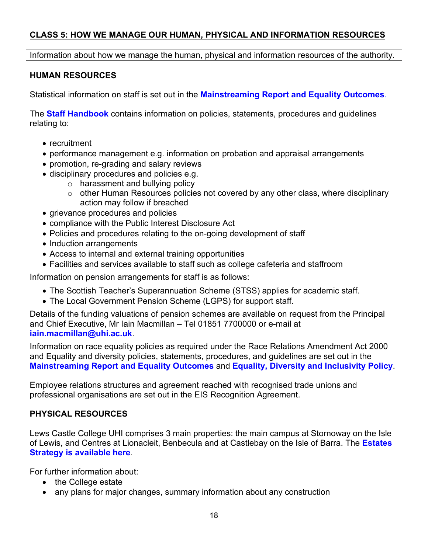## **CLASS 5: HOW WE MANAGE OUR HUMAN, PHYSICAL AND INFORMATION RESOURCES**

Information about how we manage the human, physical and information resources of the authority.

## **HUMAN RESOURCES**

Statistical information on staff is set out in the **[Mainstreaming Report and Equality Outcomes](https://www.lews.uhi.ac.uk/t4-media/one-web/lews/about-us/publications/Mainstreaming-and-Equality-Outcomes-Progress-Report-2019.pdf)**.

The **[Staff Handbook](https://www.lews.uhi.ac.uk/t4-media/one-web/lews/about-us/publications/staff-handbook.pdf)** contains information on policies, statements, procedures and guidelines relating to:

- recruitment
- performance management e.g. information on probation and appraisal arrangements
- promotion, re-grading and salary reviews
- disciplinary procedures and policies e.g.
	- $\circ$  harassment and bullying policy
	- o other Human Resources policies not covered by any other class, where disciplinary action may follow if breached
- grievance procedures and policies
- compliance with the Public Interest Disclosure Act
- Policies and procedures relating to the on-going development of staff
- Induction arrangements
- Access to internal and external training opportunities
- Facilities and services available to staff such as college cafeteria and staffroom

Information on pension arrangements for staff is as follows:

- The Scottish Teacher's Superannuation Scheme (STSS) applies for academic staff.
- The Local Government Pension Scheme (LGPS) for support staff.

Details of the funding valuations of pension schemes are available on request from the Principal and Chief Executive, Mr Iain Macmillan – Tel 01851 7700000 or e-mail at **[iain.macmillan@uhi.ac.uk](mailto:iain.macmillan@uhi.ac.uk)**.

Information on race equality policies as required under the Race Relations Amendment Act 2000 and Equality and diversity policies, statements, procedures, and guidelines are set out in the **[Mainstreaming Report and Equality Outcomes](https://www.lews.uhi.ac.uk/t4-media/one-web/lews/about-us/publications/Mainstreaming-and-Equality-Outcomes-Progress-Report-2019.pdf)** and **[Equality, Diversity and Inclusivity Policy](https://www.lews.uhi.ac.uk/t4-media/one-web/lews/about-us/publications/Equality,-Diversity-and-Inclusivity-Policy.pdf)**.

Employee relations structures and agreement reached with recognised trade unions and professional organisations are set out in the EIS Recognition Agreement.

## **PHYSICAL RESOURCES**

Lews Castle College UHI comprises 3 main properties: the main campus at Stornoway on the Isle of Lewis, and Centres at Lionacleit, Benbecula and at Castlebay on the Isle of Barra. The **[Estates](https://www.lews.uhi.ac.uk/t4-media/one-web/lews/about-us/publications/Estates-Strategy.pdf)  [Strategy is available here](https://www.lews.uhi.ac.uk/t4-media/one-web/lews/about-us/publications/Estates-Strategy.pdf)**.

For further information about:

- the College estate
- any plans for major changes, summary information about any construction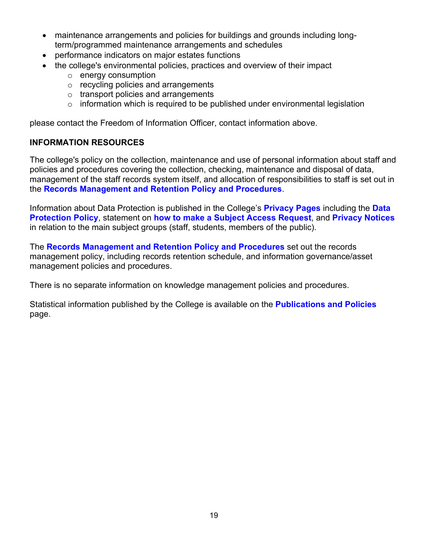- maintenance arrangements and policies for buildings and grounds including longterm/programmed maintenance arrangements and schedules
- performance indicators on major estates functions
- the college's environmental policies, practices and overview of their impact
	- o energy consumption
	- o recycling policies and arrangements
	- o transport policies and arrangements
	- $\circ$  information which is required to be published under environmental legislation

please contact the Freedom of Information Officer, contact information above.

## **INFORMATION RESOURCES**

The college's policy on the collection, maintenance and use of personal information about staff and policies and procedures covering the collection, checking, maintenance and disposal of data, management of the staff records system itself, and allocation of responsibilities to staff is set out in the **[Records Management and Retention Policy and](https://www.lews.uhi.ac.uk/t4-media/one-web/lews/about-us/publications/LCCRMPJuly2017.pdf) Procedures**.

Information about Data Protection is published in the College's **[Privacy Pages](https://www.lews.uhi.ac.uk/about-us/privacy/)** including the **[Data](https://www.lews.uhi.ac.uk/t4-media/one-web/lews/about-us/foi/LCC-UHI-Data-Protection-Policy.pdf)  [Protection Policy](https://www.lews.uhi.ac.uk/t4-media/one-web/lews/about-us/foi/LCC-UHI-Data-Protection-Policy.pdf)**, statement on **[how to make a Subject Access Request](https://www.lews.uhi.ac.uk/about-us/privacy/)**, and **[Privacy Notices](https://www.lews.uhi.ac.uk/about-us/privacy/privacy-notices/)** in relation to the main subject groups (staff, students, members of the public).

The **[Records Management and Retention Policy and Procedures](https://www.lews.uhi.ac.uk/t4-media/one-web/lews/about-us/publications/LCCRMPJuly2017.pdf)** set out the records management policy, including records retention schedule, and information governance/asset management policies and procedures.

There is no separate information on knowledge management policies and procedures.

Statistical information published by the College is available on the **[Publications and Policies](https://www.lews.uhi.ac.uk/about-us/publications-and-policies/)** page.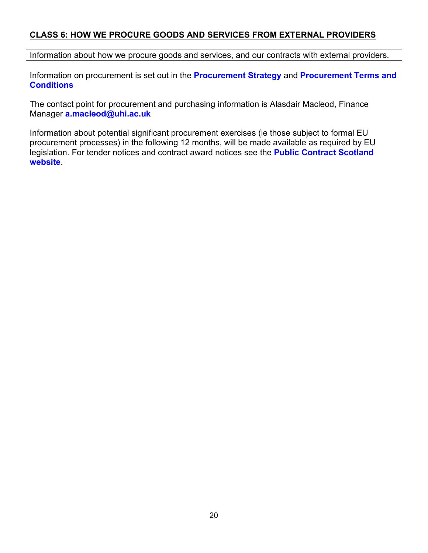#### **CLASS 6: HOW WE PROCURE GOODS AND SERVICES FROM EXTERNAL PROVIDERS**

Information about how we procure goods and services, and our contracts with external providers.

Information on procurement is set out in the **[Procurement Strategy](https://www.lews.uhi.ac.uk/t4-media/one-web/lews/about-us/publications/LCC-Procurement-Strategy-19-23.pdf)** and **[Procurement Terms and](https://www.lews.uhi.ac.uk/t4-media/one-web/lews/about-us/publications/LCCStandardProcurementTerms_Conditions.pdf)  [Conditions](https://www.lews.uhi.ac.uk/t4-media/one-web/lews/about-us/publications/LCCStandardProcurementTerms_Conditions.pdf)**

The contact point for procurement and purchasing information is Alasdair Macleod, Finance Manager **[a.macleod@uhi.ac.uk](mailto:Alasdair%20Macleod%20%3ca.macleod@uhi.ac.uk%3e)**

Information about potential significant procurement exercises (ie those subject to formal EU procurement processes) in the following 12 months, will be made available as required by EU legislation. For tender notices and contract award notices see the **[Public Contract Scotland](https://www.publiccontractsscotland.gov.uk/) [website](https://www.publiccontractsscotland.gov.uk/)**.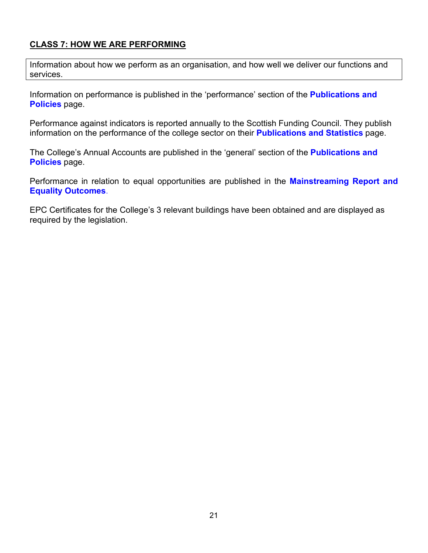## **CLASS 7: HOW WE ARE PERFORMING**

Information about how we perform as an organisation, and how well we deliver our functions and services.

Information on performance is published in the 'performance' section of the **[Publications and](https://www.lews.uhi.ac.uk/about-us/publications-and-policies/)  [Policies](https://www.lews.uhi.ac.uk/about-us/publications-and-policies/)** page.

Performance against indicators is reported annually to the Scottish Funding Council. They publish information on the performance of the college sector on their **[Publications and Statistics](http://www.sfc.ac.uk/publications-statistics/publications-statistics.aspx)** page.

The College's Annual Accounts are published in the 'general' section of the **[Publications and](https://www.lews.uhi.ac.uk/about-us/publications-and-policies/)  [Policies](https://www.lews.uhi.ac.uk/about-us/publications-and-policies/)** page.

Performance in relation to equal opportunities are published in the **[Mainstreaming Report and](https://www.lews.uhi.ac.uk/t4-media/one-web/lews/about-us/publications/Mainstreaming-and-Equality-Outcomes-Progress-Report-2019.pdf)  [Equality Outcomes](https://www.lews.uhi.ac.uk/t4-media/one-web/lews/about-us/publications/Mainstreaming-and-Equality-Outcomes-Progress-Report-2019.pdf)**.

EPC Certificates for the College's 3 relevant buildings have been obtained and are displayed as required by the legislation.